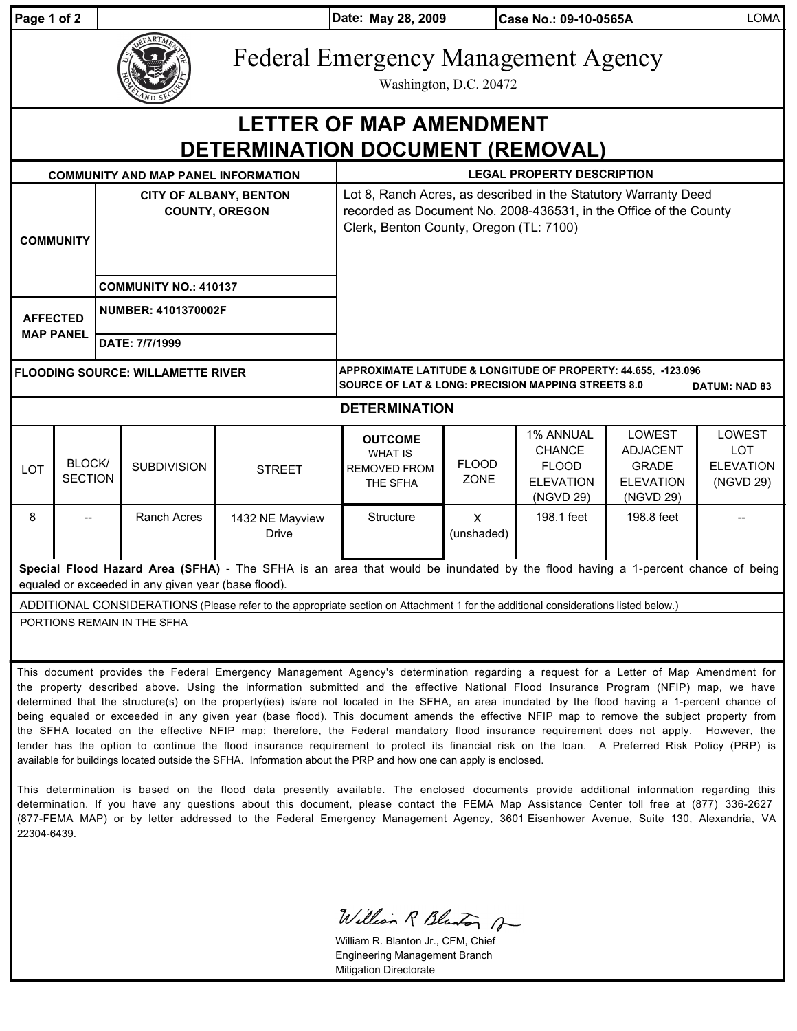| Page 1 of 2                                                                                                                                                                           |                                                                                                                                                                                                                                                                                                                                                                                                                                                                                                                                                                                |                                                        |                              |                                 | Date: May 28, 2009                                                                                                                                                              |                             | Case No.: 09-10-0565A                                                              |                                                                            | <b>LOMA</b>                                                  |  |
|---------------------------------------------------------------------------------------------------------------------------------------------------------------------------------------|--------------------------------------------------------------------------------------------------------------------------------------------------------------------------------------------------------------------------------------------------------------------------------------------------------------------------------------------------------------------------------------------------------------------------------------------------------------------------------------------------------------------------------------------------------------------------------|--------------------------------------------------------|------------------------------|---------------------------------|---------------------------------------------------------------------------------------------------------------------------------------------------------------------------------|-----------------------------|------------------------------------------------------------------------------------|----------------------------------------------------------------------------|--------------------------------------------------------------|--|
|                                                                                                                                                                                       |                                                                                                                                                                                                                                                                                                                                                                                                                                                                                                                                                                                |                                                        |                              |                                 | <b>Federal Emergency Management Agency</b><br>Washington, D.C. 20472                                                                                                            |                             |                                                                                    |                                                                            |                                                              |  |
| <b>LETTER OF MAP AMENDMENT</b>                                                                                                                                                        |                                                                                                                                                                                                                                                                                                                                                                                                                                                                                                                                                                                |                                                        |                              |                                 |                                                                                                                                                                                 |                             |                                                                                    |                                                                            |                                                              |  |
| DETERMINATION DOCUMENT (REMOVAL)                                                                                                                                                      |                                                                                                                                                                                                                                                                                                                                                                                                                                                                                                                                                                                |                                                        |                              |                                 |                                                                                                                                                                                 |                             |                                                                                    |                                                                            |                                                              |  |
| <b>COMMUNITY AND MAP PANEL INFORMATION</b>                                                                                                                                            |                                                                                                                                                                                                                                                                                                                                                                                                                                                                                                                                                                                |                                                        |                              |                                 | <b>LEGAL PROPERTY DESCRIPTION</b>                                                                                                                                               |                             |                                                                                    |                                                                            |                                                              |  |
| <b>COMMUNITY</b>                                                                                                                                                                      |                                                                                                                                                                                                                                                                                                                                                                                                                                                                                                                                                                                | <b>CITY OF ALBANY, BENTON</b><br><b>COUNTY, OREGON</b> |                              |                                 | Lot 8, Ranch Acres, as described in the Statutory Warranty Deed<br>recorded as Document No. 2008-436531, in the Office of the County<br>Clerk, Benton County, Oregon (TL: 7100) |                             |                                                                                    |                                                                            |                                                              |  |
|                                                                                                                                                                                       |                                                                                                                                                                                                                                                                                                                                                                                                                                                                                                                                                                                |                                                        | <b>COMMUNITY NO.: 410137</b> |                                 |                                                                                                                                                                                 |                             |                                                                                    |                                                                            |                                                              |  |
| <b>AFFECTED</b><br><b>MAP PANEL</b>                                                                                                                                                   |                                                                                                                                                                                                                                                                                                                                                                                                                                                                                                                                                                                | NUMBER: 4101370002F                                    |                              |                                 |                                                                                                                                                                                 |                             |                                                                                    |                                                                            |                                                              |  |
|                                                                                                                                                                                       |                                                                                                                                                                                                                                                                                                                                                                                                                                                                                                                                                                                |                                                        | DATE: 7/7/1999               |                                 |                                                                                                                                                                                 |                             |                                                                                    |                                                                            |                                                              |  |
| <b>FLOODING SOURCE: WILLAMETTE RIVER</b>                                                                                                                                              |                                                                                                                                                                                                                                                                                                                                                                                                                                                                                                                                                                                |                                                        |                              |                                 | APPROXIMATE LATITUDE & LONGITUDE OF PROPERTY: 44.655, -123.096<br><b>SOURCE OF LAT &amp; LONG: PRECISION MAPPING STREETS 8.0</b><br><b>DATUM: NAD 83</b>                        |                             |                                                                                    |                                                                            |                                                              |  |
| <b>DETERMINATION</b>                                                                                                                                                                  |                                                                                                                                                                                                                                                                                                                                                                                                                                                                                                                                                                                |                                                        |                              |                                 |                                                                                                                                                                                 |                             |                                                                                    |                                                                            |                                                              |  |
| LOT                                                                                                                                                                                   | BLOCK/<br><b>SECTION</b>                                                                                                                                                                                                                                                                                                                                                                                                                                                                                                                                                       |                                                        | <b>SUBDIVISION</b>           | <b>STREET</b>                   | <b>OUTCOME</b><br><b>WHAT IS</b><br><b>REMOVED FROM</b><br>THE SFHA                                                                                                             | <b>FLOOD</b><br><b>ZONE</b> | <b>1% ANNUAL</b><br><b>CHANCE</b><br><b>FLOOD</b><br><b>ELEVATION</b><br>(NGVD 29) | LOWEST<br><b>ADJACENT</b><br><b>GRADE</b><br><b>ELEVATION</b><br>(NGVD 29) | <b>LOWEST</b><br><b>LOT</b><br><b>ELEVATION</b><br>(NGVD 29) |  |
| 8                                                                                                                                                                                     |                                                                                                                                                                                                                                                                                                                                                                                                                                                                                                                                                                                |                                                        | Ranch Acres                  | 1432 NE Mayview<br><b>Drive</b> | Structure                                                                                                                                                                       | $\mathsf{X}$<br>(unshaded)  | 198.1 feet                                                                         | 198.8 feet                                                                 |                                                              |  |
| Special Flood Hazard Area (SFHA) - The SFHA is an area that would be inundated by the flood having a 1-percent chance of being<br>equaled or exceeded in any given year (base flood). |                                                                                                                                                                                                                                                                                                                                                                                                                                                                                                                                                                                |                                                        |                              |                                 |                                                                                                                                                                                 |                             |                                                                                    |                                                                            |                                                              |  |
| ADDITIONAL CONSIDERATIONS (Please refer to the appropriate section on Attachment 1 for the additional considerations listed below.)                                                   |                                                                                                                                                                                                                                                                                                                                                                                                                                                                                                                                                                                |                                                        |                              |                                 |                                                                                                                                                                                 |                             |                                                                                    |                                                                            |                                                              |  |
| PORTIONS REMAIN IN THE SFHA                                                                                                                                                           |                                                                                                                                                                                                                                                                                                                                                                                                                                                                                                                                                                                |                                                        |                              |                                 |                                                                                                                                                                                 |                             |                                                                                    |                                                                            |                                                              |  |
|                                                                                                                                                                                       | This document provides the Federal Emergency Management Agency's determination regarding a request for a Letter of Map Amendment for<br>the property described above. Using the information submitted and the effective National Flood Insurance Program (NFIP) map, we have<br>determined that the structure(s) on the property(ies) is/are not located in the SFHA, an area inundated by the flood having a 1-percent chance of<br>being equaled or exceeded in any given year (base flood). This document amends the effective NEIP man to remove the subject property from |                                                        |                              |                                 |                                                                                                                                                                                 |                             |                                                                                    |                                                                            |                                                              |  |

being equaled or exceeded in any given year (base flood). This document amends the effective NFIP map to remove the subject property from the SFHA located on the effective NFIP map; therefore, the Federal mandatory flood insurance requirement does not apply. However, the lender has the option to continue the flood insurance requirement to protect its financial risk on the loan. A Preferred Risk Policy (PRP) is available for buildings located outside the SFHA. Information about the PRP and how one can apply is enclosed.

This determination is based on the flood data presently available. The enclosed documents provide additional information regarding this determination. If you have any questions about this document, please contact the FEMA Map Assistance Center toll free at (877) 336-2627 (877-FEMA MAP) or by letter addressed to the Federal Emergency Management Agency, 3601 Eisenhower Avenue, Suite 130, Alexandria, VA 22304-6439.

William R Blanton A

William R. Blanton Jr., CFM, Chief Engineering Management Branch Mitigation Directorate